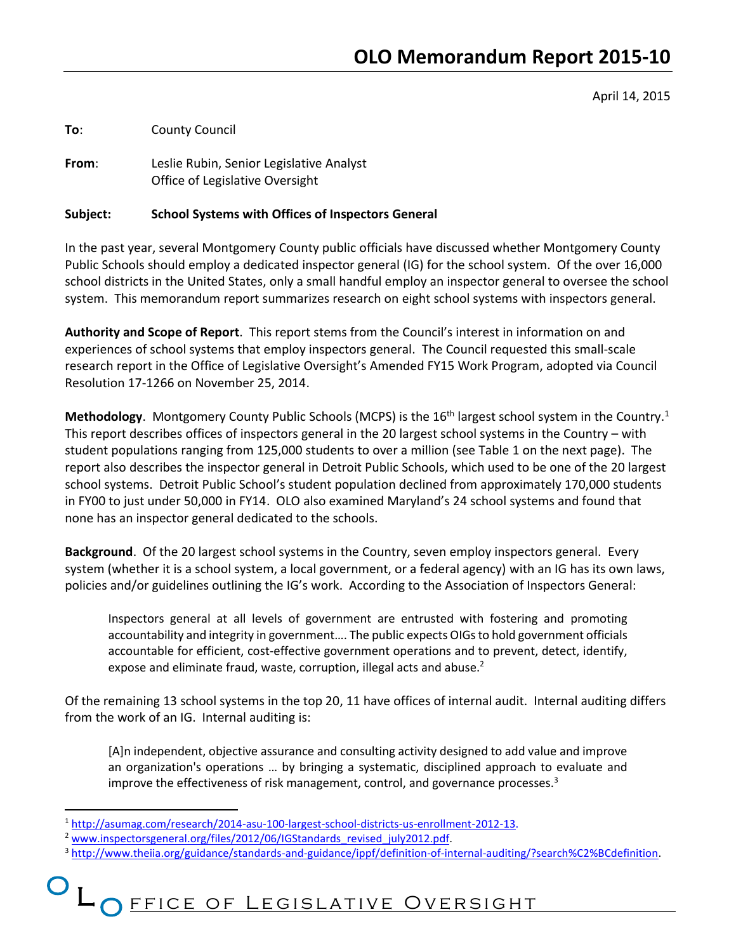April 14, 2015

**To**: County Council

**From**: Leslie Rubin, Senior Legislative Analyst Office of Legislative Oversight

#### **Subject: School Systems with Offices of Inspectors General**

In the past year, several Montgomery County public officials have discussed whether Montgomery County Public Schools should employ a dedicated inspector general (IG) for the school system. Of the over 16,000 school districts in the United States, only a small handful employ an inspector general to oversee the school system. This memorandum report summarizes research on eight school systems with inspectors general.

**Authority and Scope of Report**. This report stems from the Council's interest in information on and experiences of school systems that employ inspectors general. The Council requested this small-scale research report in the Office of Legislative Oversight's Amended FY15 Work Program, adopted via Council Resolution 17-1266 on November 25, 2014.

Methodology. Montgomery County Public Schools (MCPS) is the 16<sup>th</sup> largest school system in the Country.<sup>1</sup> This report describes offices of inspectors general in the 20 largest school systems in the Country – with student populations ranging from 125,000 students to over a million (see Table 1 on the next page). The report also describes the inspector general in Detroit Public Schools, which used to be one of the 20 largest school systems. Detroit Public School's student population declined from approximately 170,000 students in FY00 to just under 50,000 in FY14. OLO also examined Maryland's 24 school systems and found that none has an inspector general dedicated to the schools.

**Background**. Of the 20 largest school systems in the Country, seven employ inspectors general. Every system (whether it is a school system, a local government, or a federal agency) with an IG has its own laws, policies and/or guidelines outlining the IG's work. According to the Association of Inspectors General:

Inspectors general at all levels of government are entrusted with fostering and promoting accountability and integrity in government…. The public expects OIGs to hold government officials accountable for efficient, cost-effective government operations and to prevent, detect, identify, expose and eliminate fraud, waste, corruption, illegal acts and abuse.<sup>2</sup>

Of the remaining 13 school systems in the top 20, 11 have offices of internal audit. Internal auditing differs from the work of an IG. Internal auditing is:

[A]n independent, objective assurance and consulting activity designed to add value and improve an organization's operations … by bringing a systematic, disciplined approach to evaluate and improve the effectiveness of risk management, control, and governance processes.<sup>3</sup>

 $\overline{a}$ 

<sup>1</sup> [http://asumag.com/research/2014-asu-100-largest-school-districts-us-enrollment-2012-13.](http://asumag.com/research/2014-asu-100-largest-school-districts-us-enrollment-2012-13)

<sup>&</sup>lt;sup>2</sup> [www.inspectorsgeneral.org/files/2012/06/IGStandards\\_revised\\_july2012.pdf.](http://www.inspectorsgeneral.org/files/2012/06/IGStandards_revised_july2012.pdf)

<sup>&</sup>lt;sup>3</sup> [http://www.theiia.org/guidance/standards-and-guidance/ippf/definition-of-internal-auditing/?search%C2%BCdefinition.](http://www.theiia.org/guidance/standards-and-guidance/ippf/definition-of-internal-auditing/?search%C2%BCdefinition)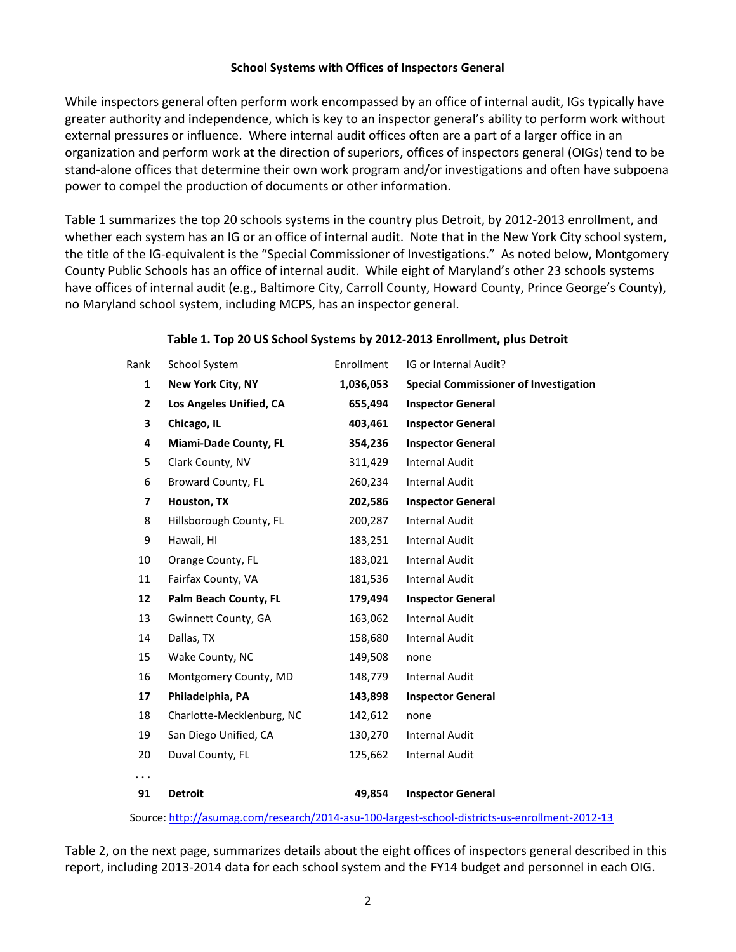While inspectors general often perform work encompassed by an office of internal audit, IGs typically have greater authority and independence, which is key to an inspector general's ability to perform work without external pressures or influence. Where internal audit offices often are a part of a larger office in an organization and perform work at the direction of superiors, offices of inspectors general (OIGs) tend to be stand-alone offices that determine their own work program and/or investigations and often have subpoena power to compel the production of documents or other information.

Table 1 summarizes the top 20 schools systems in the country plus Detroit, by 2012-2013 enrollment, and whether each system has an IG or an office of internal audit. Note that in the New York City school system, the title of the IG-equivalent is the "Special Commissioner of Investigations." As noted below, Montgomery County Public Schools has an office of internal audit. While eight of Maryland's other 23 schools systems have offices of internal audit (e.g., Baltimore City, Carroll County, Howard County, Prince George's County), no Maryland school system, including MCPS, has an inspector general.

| Rank                                                                                           | School System                | Enrollment | IG or Internal Audit?                        |  |
|------------------------------------------------------------------------------------------------|------------------------------|------------|----------------------------------------------|--|
| $\mathbf{1}$                                                                                   | New York City, NY            | 1,036,053  | <b>Special Commissioner of Investigation</b> |  |
| $\overline{2}$                                                                                 | Los Angeles Unified, CA      | 655,494    | <b>Inspector General</b>                     |  |
| 3                                                                                              | Chicago, IL                  | 403,461    | <b>Inspector General</b>                     |  |
| 4                                                                                              | <b>Miami-Dade County, FL</b> | 354,236    | <b>Inspector General</b>                     |  |
| 5                                                                                              | Clark County, NV             | 311,429    | <b>Internal Audit</b>                        |  |
| 6                                                                                              | <b>Broward County, FL</b>    | 260,234    | <b>Internal Audit</b>                        |  |
| 7                                                                                              | Houston, TX                  | 202,586    | <b>Inspector General</b>                     |  |
| 8                                                                                              | Hillsborough County, FL      | 200,287    | <b>Internal Audit</b>                        |  |
| 9                                                                                              | Hawaii, HI                   | 183,251    | <b>Internal Audit</b>                        |  |
| 10                                                                                             | Orange County, FL            | 183,021    | <b>Internal Audit</b>                        |  |
| 11                                                                                             | Fairfax County, VA           | 181,536    | <b>Internal Audit</b>                        |  |
| 12                                                                                             | Palm Beach County, FL        | 179,494    | <b>Inspector General</b>                     |  |
| 13                                                                                             | Gwinnett County, GA          | 163,062    | <b>Internal Audit</b>                        |  |
| 14                                                                                             | Dallas, TX                   | 158,680    | <b>Internal Audit</b>                        |  |
| 15                                                                                             | Wake County, NC              | 149,508    | none                                         |  |
| 16                                                                                             | Montgomery County, MD        | 148,779    | <b>Internal Audit</b>                        |  |
| 17                                                                                             | Philadelphia, PA             | 143,898    | <b>Inspector General</b>                     |  |
| 18                                                                                             | Charlotte-Mecklenburg, NC    | 142,612    | none                                         |  |
| 19                                                                                             | San Diego Unified, CA        | 130,270    | <b>Internal Audit</b>                        |  |
| 20                                                                                             | Duval County, FL             | 125,662    | <b>Internal Audit</b>                        |  |
| $\cdots$                                                                                       |                              |            |                                              |  |
| 91                                                                                             | <b>Detroit</b>               | 49,854     | <b>Inspector General</b>                     |  |
| Source: http://asumag.com/research/2014-asu-100-largest-school-districts-us-enrollment-2012-13 |                              |            |                                              |  |

#### **Table 1. Top 20 US School Systems by 2012-2013 Enrollment, plus Detroit**

Table 2, on the next page, summarizes details about the eight offices of inspectors general described in this report, including 2013-2014 data for each school system and the FY14 budget and personnel in each OIG.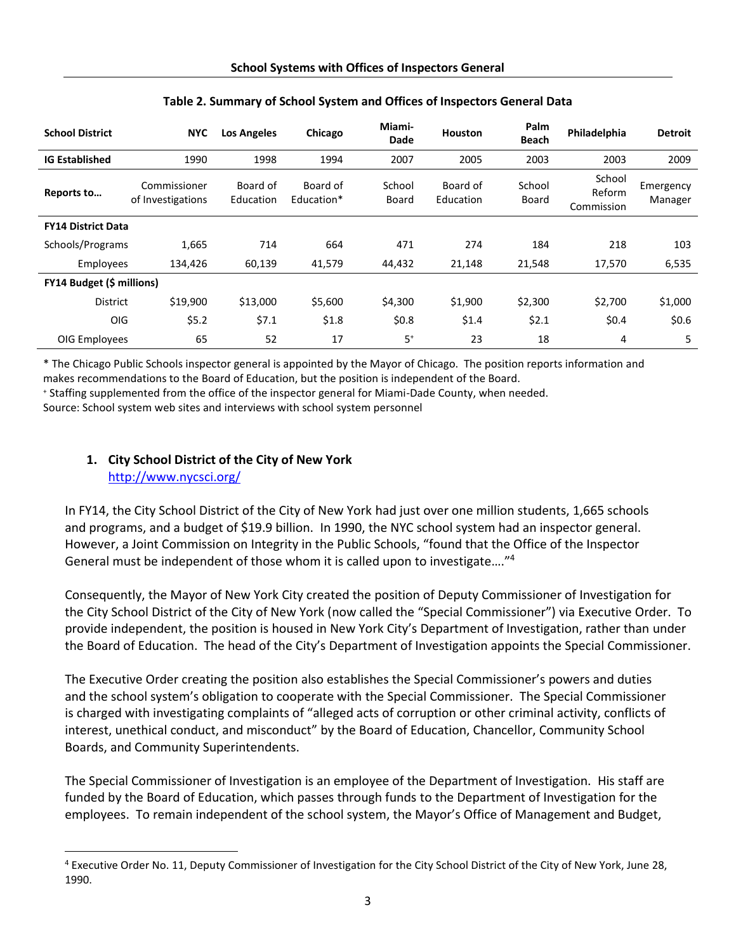| <b>School District</b>           | <b>NYC</b>                        | <b>Los Angeles</b>    | Chicago                | Miami-<br><b>Dade</b> | <b>Houston</b>        | Palm<br><b>Beach</b> | Philadelphia                   | <b>Detroit</b>       |
|----------------------------------|-----------------------------------|-----------------------|------------------------|-----------------------|-----------------------|----------------------|--------------------------------|----------------------|
| <b>IG Established</b>            | 1990                              | 1998                  | 1994                   | 2007                  | 2005                  | 2003                 | 2003                           | 2009                 |
| Reports to                       | Commissioner<br>of Investigations | Board of<br>Education | Board of<br>Education* | School<br>Board       | Board of<br>Education | School<br>Board      | School<br>Reform<br>Commission | Emergency<br>Manager |
| <b>FY14 District Data</b>        |                                   |                       |                        |                       |                       |                      |                                |                      |
| Schools/Programs                 | 1,665                             | 714                   | 664                    | 471                   | 274                   | 184                  | 218                            | 103                  |
| Employees                        | 134,426                           | 60,139                | 41,579                 | 44,432                | 21,148                | 21,548               | 17,570                         | 6,535                |
| <b>FY14 Budget (\$ millions)</b> |                                   |                       |                        |                       |                       |                      |                                |                      |
| <b>District</b>                  | \$19,900                          | \$13,000              | \$5,600                | \$4,300               | \$1,900               | \$2,300              | \$2,700                        | \$1,000              |
| OIG                              | \$5.2                             | \$7.1                 | \$1.8                  | \$0.8\$               | \$1.4                 | \$2.1                | \$0.4\$                        | \$0.6\$              |
| OIG Employees                    | 65                                | 52                    | 17                     | $5+$                  | 23                    | 18                   | 4                              | 5                    |

#### **Table 2. Summary of School System and Offices of Inspectors General Data**

\* The Chicago Public Schools inspector general is appointed by the Mayor of Chicago. The position reports information and makes recommendations to the Board of Education, but the position is independent of the Board.

<sup>+</sup> Staffing supplemented from the office of the inspector general for Miami-Dade County, when needed. Source: School system web sites and interviews with school system personnel

## **1. City School District of the City of New York** <http://www.nycsci.org/>

l

In FY14, the City School District of the City of New York had just over one million students, 1,665 schools and programs, and a budget of \$19.9 billion. In 1990, the NYC school system had an inspector general. However, a Joint Commission on Integrity in the Public Schools, "found that the Office of the Inspector General must be independent of those whom it is called upon to investigate…." 4

Consequently, the Mayor of New York City created the position of Deputy Commissioner of Investigation for the City School District of the City of New York (now called the "Special Commissioner") via Executive Order. To provide independent, the position is housed in New York City's Department of Investigation, rather than under the Board of Education. The head of the City's Department of Investigation appoints the Special Commissioner.

The Executive Order creating the position also establishes the Special Commissioner's powers and duties and the school system's obligation to cooperate with the Special Commissioner. The Special Commissioner is charged with investigating complaints of "alleged acts of corruption or other criminal activity, conflicts of interest, unethical conduct, and misconduct" by the Board of Education, Chancellor, Community School Boards, and Community Superintendents.

The Special Commissioner of Investigation is an employee of the Department of Investigation. His staff are funded by the Board of Education, which passes through funds to the Department of Investigation for the employees. To remain independent of the school system, the Mayor's Office of Management and Budget,

<sup>4</sup> Executive Order No. 11, Deputy Commissioner of Investigation for the City School District of the City of New York, June 28, 1990.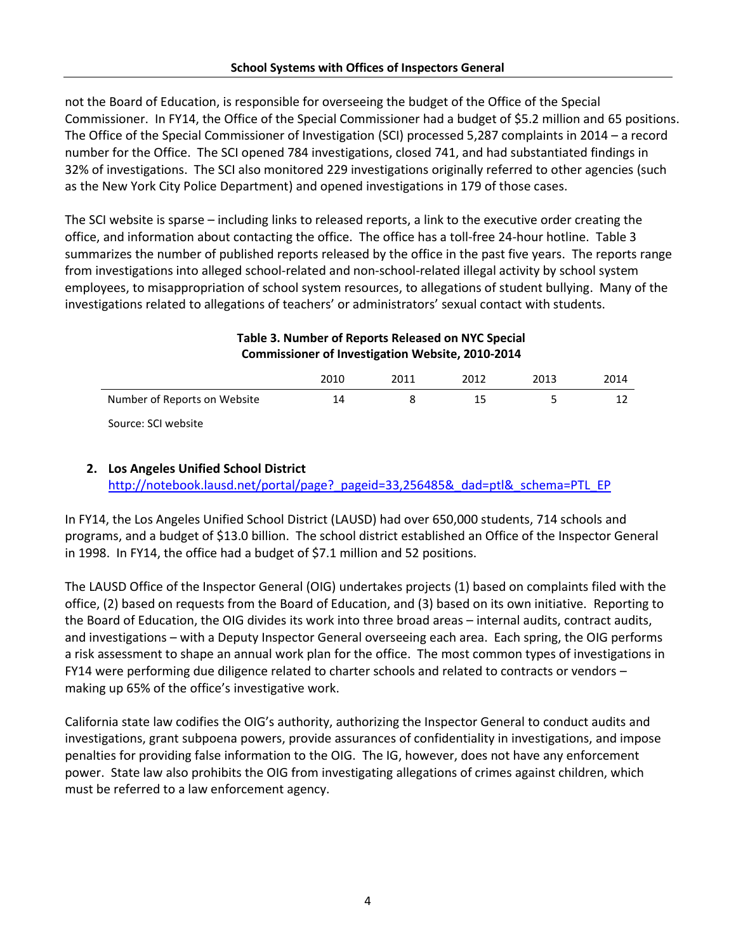not the Board of Education, is responsible for overseeing the budget of the Office of the Special Commissioner. In FY14, the Office of the Special Commissioner had a budget of \$5.2 million and 65 positions. The Office of the Special Commissioner of Investigation (SCI) processed 5,287 complaints in 2014 – a record number for the Office. The SCI opened 784 investigations, closed 741, and had substantiated findings in 32% of investigations. The SCI also monitored 229 investigations originally referred to other agencies (such as the New York City Police Department) and opened investigations in 179 of those cases.

The SCI website is sparse – including links to released reports, a link to the executive order creating the office, and information about contacting the office. The office has a toll-free 24-hour hotline. Table 3 summarizes the number of published reports released by the office in the past five years. The reports range from investigations into alleged school-related and non-school-related illegal activity by school system employees, to misappropriation of school system resources, to allegations of student bullying. Many of the investigations related to allegations of teachers' or administrators' sexual contact with students.

## **Table 3. Number of Reports Released on NYC Special Commissioner of Investigation Website, 2010-2014**

|                              | 2010 | 2011 | 2012 | 2013 | 2014 |
|------------------------------|------|------|------|------|------|
| Number of Reports on Website | 14   |      | 15   |      |      |
| Source: SCI website          |      |      |      |      |      |

## **2. Los Angeles Unified School District** http://notebook.lausd.net/portal/page? pageid=33,256485&\_dad=ptl&\_schema=PTL\_EP

In FY14, the Los Angeles Unified School District (LAUSD) had over 650,000 students, 714 schools and programs, and a budget of \$13.0 billion. The school district established an Office of the Inspector General in 1998. In FY14, the office had a budget of \$7.1 million and 52 positions.

The LAUSD Office of the Inspector General (OIG) undertakes projects (1) based on complaints filed with the office, (2) based on requests from the Board of Education, and (3) based on its own initiative. Reporting to the Board of Education, the OIG divides its work into three broad areas – internal audits, contract audits, and investigations – with a Deputy Inspector General overseeing each area. Each spring, the OIG performs a risk assessment to shape an annual work plan for the office. The most common types of investigations in FY14 were performing due diligence related to charter schools and related to contracts or vendors – making up 65% of the office's investigative work.

California state law codifies the OIG's authority, authorizing the Inspector General to conduct audits and investigations, grant subpoena powers, provide assurances of confidentiality in investigations, and impose penalties for providing false information to the OIG. The IG, however, does not have any enforcement power. State law also prohibits the OIG from investigating allegations of crimes against children, which must be referred to a law enforcement agency.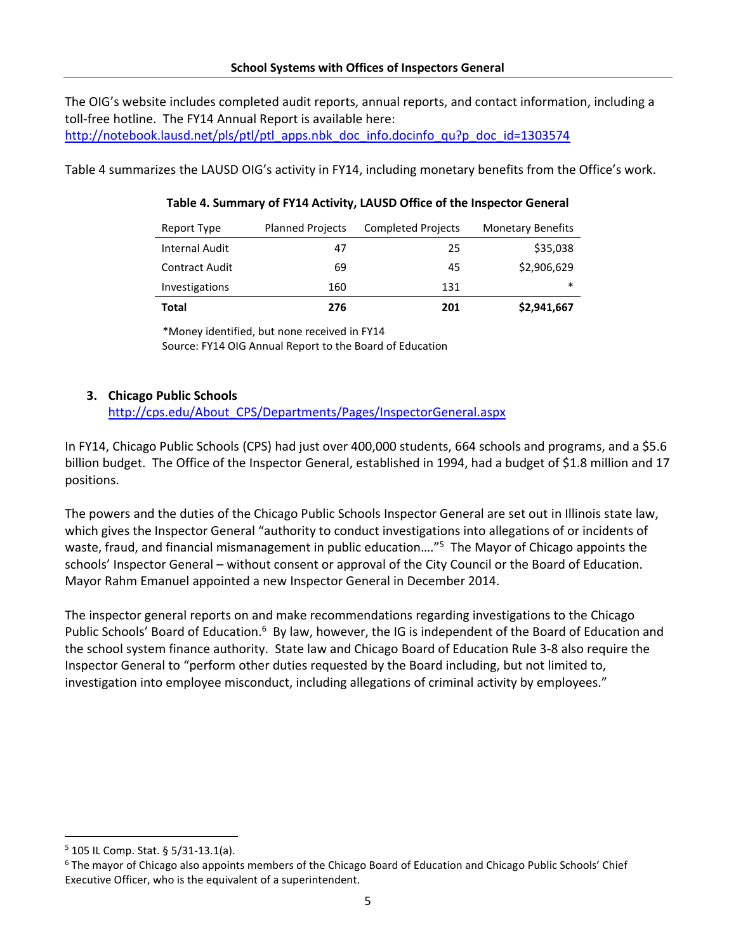The OIG's website includes completed audit reports, annual reports, and contact information, including a toll-free hotline. The FY14 Annual Report is available here: [http://notebook.lausd.net/pls/ptl/ptl\\_apps.nbk\\_doc\\_info.docinfo\\_qu?p\\_doc\\_id=1303574](http://notebook.lausd.net/pls/ptl/ptl_apps.nbk_doc_info.docinfo_qu?p_doc_id=1303574)

Table 4 summarizes the LAUSD OIG's activity in FY14, including monetary benefits from the Office's work.

#### **Table 4. Summary of FY14 Activity, LAUSD Office of the Inspector General**

| Report Type           | <b>Planned Projects</b> | <b>Completed Projects</b> | <b>Monetary Benefits</b> |
|-----------------------|-------------------------|---------------------------|--------------------------|
| <b>Internal Audit</b> | 47                      | 25                        | \$35,038                 |
| <b>Contract Audit</b> | 69                      | 45                        | \$2,906,629              |
| Investigations        | 160                     | 131                       | $\ast$                   |
| Total                 | 276                     | 201                       | \$2,941,667              |

\*Money identified, but none received in FY14

Source: FY14 OIG Annual Report to the Board of Education

#### **3. Chicago Public Schools**

[http://cps.edu/About\\_CPS/Departments/Pages/InspectorGeneral.aspx](http://cps.edu/About_CPS/Departments/Pages/InspectorGeneral.aspx)

In FY14, Chicago Public Schools (CPS) had just over 400,000 students, 664 schools and programs, and a \$5.6 billion budget. The Office of the Inspector General, established in 1994, had a budget of \$1.8 million and 17 positions.

The powers and the duties of the Chicago Public Schools Inspector General are set out in Illinois state law, which gives the Inspector General "authority to conduct investigations into allegations of or incidents of waste, fraud, and financial mismanagement in public education...."<sup>5</sup> The Mayor of Chicago appoints the schools' Inspector General – without consent or approval of the City Council or the Board of Education. Mayor Rahm Emanuel appointed a new Inspector General in December 2014.

The inspector general reports on and make recommendations regarding investigations to the Chicago Public Schools' Board of Education.<sup>6</sup> By law, however, the IG is independent of the Board of Education and the school system finance authority. State law and Chicago Board of Education Rule 3-8 also require the Inspector General to "perform other duties requested by the Board including, but not limited to, investigation into employee misconduct, including allegations of criminal activity by employees."

 $\overline{\phantom{a}}$ 

 $5$  105 IL Comp. Stat. § 5/31-13.1(a).

<sup>&</sup>lt;sup>6</sup> The mayor of Chicago also appoints members of the Chicago Board of Education and Chicago Public Schools' Chief Executive Officer, who is the equivalent of a superintendent.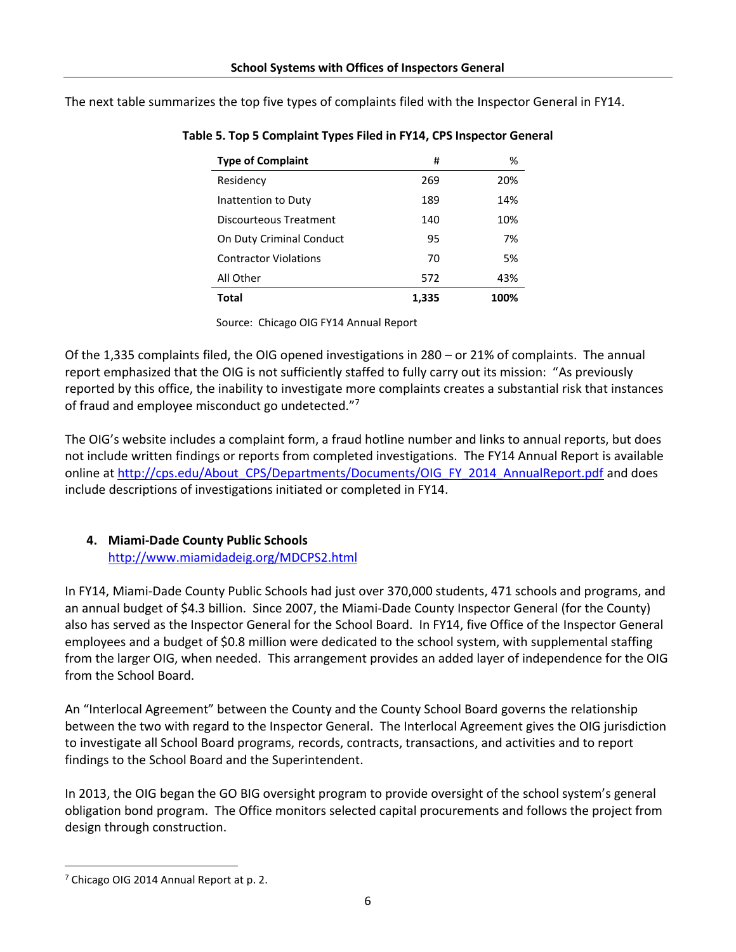The next table summarizes the top five types of complaints filed with the Inspector General in FY14.

| <b>Type of Complaint</b>     | #     | ℅    |
|------------------------------|-------|------|
| Residency                    | 269   | 20%  |
| Inattention to Duty          | 189   | 14%  |
| Discourteous Treatment       | 140   | 10%  |
| On Duty Criminal Conduct     | 95    | 7%   |
| <b>Contractor Violations</b> | 70    | .5%  |
| All Other                    | 572   | 43%  |
| Total                        | 1,335 | 100% |

**Table 5. Top 5 Complaint Types Filed in FY14, CPS Inspector General**

Source: Chicago OIG FY14 Annual Report

Of the 1,335 complaints filed, the OIG opened investigations in 280 – or 21% of complaints. The annual report emphasized that the OIG is not sufficiently staffed to fully carry out its mission: "As previously reported by this office, the inability to investigate more complaints creates a substantial risk that instances of fraud and employee misconduct go undetected."<sup>7</sup>

The OIG's website includes a complaint form, a fraud hotline number and links to annual reports, but does not include written findings or reports from completed investigations. The FY14 Annual Report is available online at [http://cps.edu/About\\_CPS/Departments/Documents/OIG\\_FY\\_2014\\_AnnualReport.pdf](http://cps.edu/About_CPS/Departments/Documents/OIG_FY_2014_AnnualReport.pdf) and does include descriptions of investigations initiated or completed in FY14.

#### **4. Miami-Dade County Public Schools** <http://www.miamidadeig.org/MDCPS2.html>

In FY14, Miami-Dade County Public Schools had just over 370,000 students, 471 schools and programs, and an annual budget of \$4.3 billion. Since 2007, the Miami-Dade County Inspector General (for the County) also has served as the Inspector General for the School Board. In FY14, five Office of the Inspector General employees and a budget of \$0.8 million were dedicated to the school system, with supplemental staffing from the larger OIG, when needed. This arrangement provides an added layer of independence for the OIG from the School Board.

An "Interlocal Agreement" between the County and the County School Board governs the relationship between the two with regard to the Inspector General. The Interlocal Agreement gives the OIG jurisdiction to investigate all School Board programs, records, contracts, transactions, and activities and to report findings to the School Board and the Superintendent.

In 2013, the OIG began the GO BIG oversight program to provide oversight of the school system's general obligation bond program. The Office monitors selected capital procurements and follows the project from design through construction.

 $\overline{\phantom{a}}$ <sup>7</sup> Chicago OIG 2014 Annual Report at p. 2.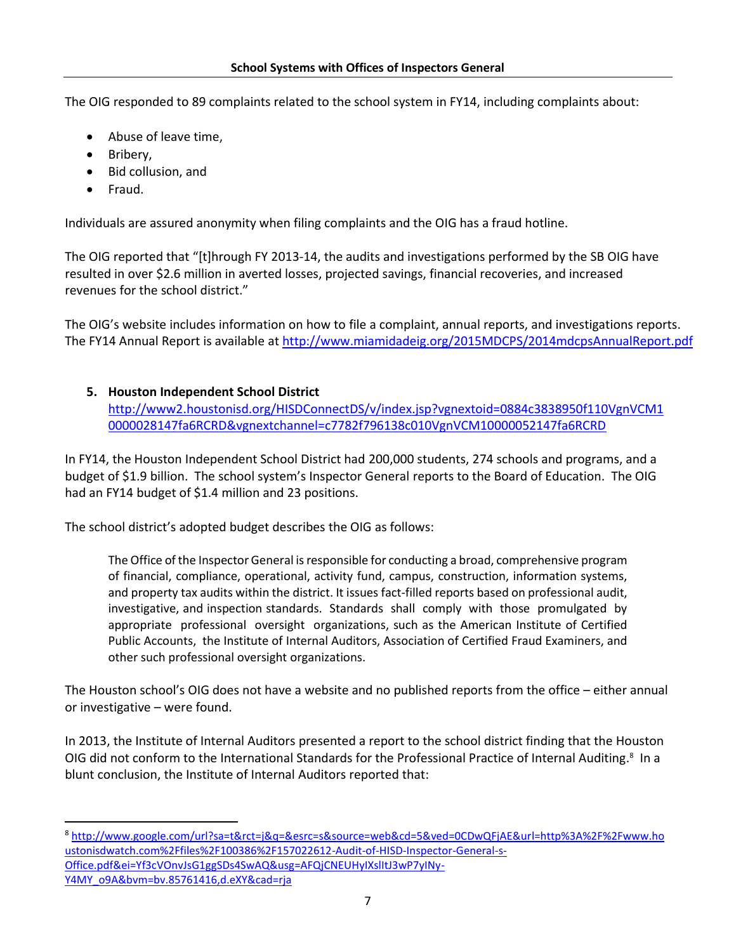The OIG responded to 89 complaints related to the school system in FY14, including complaints about:

- Abuse of leave time,
- Bribery,
- Bid collusion, and
- Fraud.

 $\overline{a}$ 

Individuals are assured anonymity when filing complaints and the OIG has a fraud hotline.

The OIG reported that "[t]hrough FY 2013-14, the audits and investigations performed by the SB OIG have resulted in over \$2.6 million in averted losses, projected savings, financial recoveries, and increased revenues for the school district."

The OIG's website includes information on how to file a complaint, annual reports, and investigations reports. The FY14 Annual Report is available at <http://www.miamidadeig.org/2015MDCPS/2014mdcpsAnnualReport.pdf>

## **5. Houston Independent School District**

[http://www2.houstonisd.org/HISDConnectDS/v/index.jsp?vgnextoid=0884c3838950f110VgnVCM1](http://www2.houstonisd.org/HISDConnectDS/v/index.jsp?vgnextoid=0884c3838950f110VgnVCM10000028147fa6RCRD&vgnextchannel=c7782f796138c010VgnVCM10000052147fa6RCRD) [0000028147fa6RCRD&vgnextchannel=c7782f796138c010VgnVCM10000052147fa6RCRD](http://www2.houstonisd.org/HISDConnectDS/v/index.jsp?vgnextoid=0884c3838950f110VgnVCM10000028147fa6RCRD&vgnextchannel=c7782f796138c010VgnVCM10000052147fa6RCRD)

In FY14, the Houston Independent School District had 200,000 students, 274 schools and programs, and a budget of \$1.9 billion. The school system's Inspector General reports to the Board of Education. The OIG had an FY14 budget of \$1.4 million and 23 positions.

The school district's adopted budget describes the OIG as follows:

The Office of the Inspector General is responsible for conducting a broad, comprehensive program of financial, compliance, operational, activity fund, campus, construction, information systems, and property tax audits within the district. It issues fact-filled reports based on professional audit, investigative, and inspection standards. Standards shall comply with those promulgated by appropriate professional oversight organizations, such as the American Institute of Certified Public Accounts, the Institute of Internal Auditors, Association of Certified Fraud Examiners, and other such professional oversight organizations.

The Houston school's OIG does not have a website and no published reports from the office – either annual or investigative – were found.

In 2013, the Institute of Internal Auditors presented a report to the school district finding that the Houston OIG did not conform to the International Standards for the Professional Practice of Internal Auditing.<sup>8</sup> In a blunt conclusion, the Institute of Internal Auditors reported that:

<sup>8</sup> [http://www.google.com/url?sa=t&rct=j&q=&esrc=s&source=web&cd=5&ved=0CDwQFjAE&url=http%3A%2F%2Fwww.ho](http://www.google.com/url?sa=t&rct=j&q=&esrc=s&source=web&cd=5&ved=0CDwQFjAE&url=http%3A%2F%2Fwww.houstonisdwatch.com%2Ffiles%2F100386%2F157022612-Audit-of-HISD-Inspector-General-s-Office.pdf&ei=Yf3cVOnvJsG1ggSDs4SwAQ&usg=AFQjCNEUHyIXslItJ3wP7yINy-Y4MY_o9A&bvm=bv.85761416,d.eXY&cad=rja) [ustonisdwatch.com%2Ffiles%2F100386%2F157022612-Audit-of-HISD-Inspector-General-s-](http://www.google.com/url?sa=t&rct=j&q=&esrc=s&source=web&cd=5&ved=0CDwQFjAE&url=http%3A%2F%2Fwww.houstonisdwatch.com%2Ffiles%2F100386%2F157022612-Audit-of-HISD-Inspector-General-s-Office.pdf&ei=Yf3cVOnvJsG1ggSDs4SwAQ&usg=AFQjCNEUHyIXslItJ3wP7yINy-Y4MY_o9A&bvm=bv.85761416,d.eXY&cad=rja)[Office.pdf&ei=Yf3cVOnvJsG1ggSDs4SwAQ&usg=AFQjCNEUHyIXslItJ3wP7yINy-](http://www.google.com/url?sa=t&rct=j&q=&esrc=s&source=web&cd=5&ved=0CDwQFjAE&url=http%3A%2F%2Fwww.houstonisdwatch.com%2Ffiles%2F100386%2F157022612-Audit-of-HISD-Inspector-General-s-Office.pdf&ei=Yf3cVOnvJsG1ggSDs4SwAQ&usg=AFQjCNEUHyIXslItJ3wP7yINy-Y4MY_o9A&bvm=bv.85761416,d.eXY&cad=rja)[Y4MY\\_o9A&bvm=bv.85761416,d.eXY&cad=rja](http://www.google.com/url?sa=t&rct=j&q=&esrc=s&source=web&cd=5&ved=0CDwQFjAE&url=http%3A%2F%2Fwww.houstonisdwatch.com%2Ffiles%2F100386%2F157022612-Audit-of-HISD-Inspector-General-s-Office.pdf&ei=Yf3cVOnvJsG1ggSDs4SwAQ&usg=AFQjCNEUHyIXslItJ3wP7yINy-Y4MY_o9A&bvm=bv.85761416,d.eXY&cad=rja)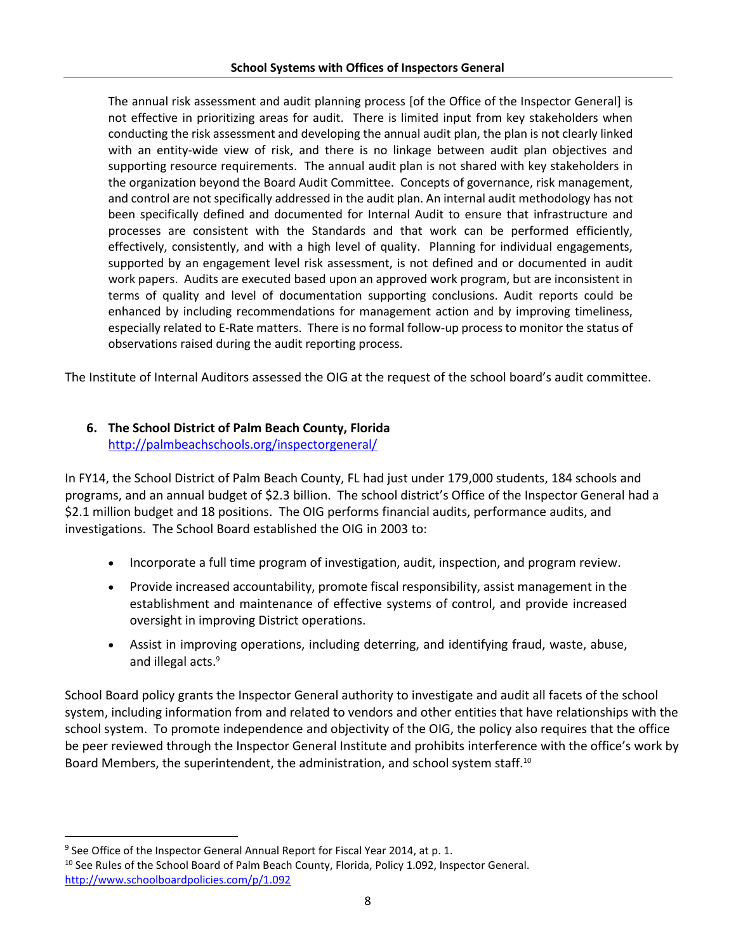The annual risk assessment and audit planning process [of the Office of the Inspector General] is not effective in prioritizing areas for audit. There is limited input from key stakeholders when conducting the risk assessment and developing the annual audit plan, the plan is not clearly linked with an entity-wide view of risk, and there is no linkage between audit plan objectives and supporting resource requirements. The annual audit plan is not shared with key stakeholders in the organization beyond the Board Audit Committee. Concepts of governance, risk management, and control are not specifically addressed in the audit plan. An internal audit methodology has not been specifically defined and documented for Internal Audit to ensure that infrastructure and processes are consistent with the Standards and that work can be performed efficiently, effectively, consistently, and with a high level of quality. Planning for individual engagements, supported by an engagement level risk assessment, is not defined and or documented in audit work papers. Audits are executed based upon an approved work program, but are inconsistent in terms of quality and level of documentation supporting conclusions. Audit reports could be enhanced by including recommendations for management action and by improving timeliness, especially related to E-Rate matters. There is no formal follow-up process to monitor the status of observations raised during the audit reporting process.

The Institute of Internal Auditors assessed the OIG at the request of the school board's audit committee.

# **6. The School District of Palm Beach County, Florida**

<http://palmbeachschools.org/inspectorgeneral/>

In FY14, the School District of Palm Beach County, FL had just under 179,000 students, 184 schools and programs, and an annual budget of \$2.3 billion. The school district's Office of the Inspector General had a \$2.1 million budget and 18 positions. The OIG performs financial audits, performance audits, and investigations. The School Board established the OIG in 2003 to:

- Incorporate a full time program of investigation, audit, inspection, and program review.
- Provide increased accountability, promote fiscal responsibility, assist management in the establishment and maintenance of effective systems of control, and provide increased oversight in improving District operations.
- Assist in improving operations, including deterring, and identifying fraud, waste, abuse, and illegal acts. 9

School Board policy grants the Inspector General authority to investigate and audit all facets of the school system, including information from and related to vendors and other entities that have relationships with the school system. To promote independence and objectivity of the OIG, the policy also requires that the office be peer reviewed through the Inspector General Institute and prohibits interference with the office's work by Board Members, the superintendent, the administration, and school system staff.<sup>10</sup>

 $\overline{\phantom{a}}$ <sup>9</sup> See Office of the Inspector General Annual Report for Fiscal Year 2014, at p. 1.

<sup>&</sup>lt;sup>10</sup> See Rules of the School Board of Palm Beach County, Florida, Policy 1.092, Inspector General. <http://www.schoolboardpolicies.com/p/1.092>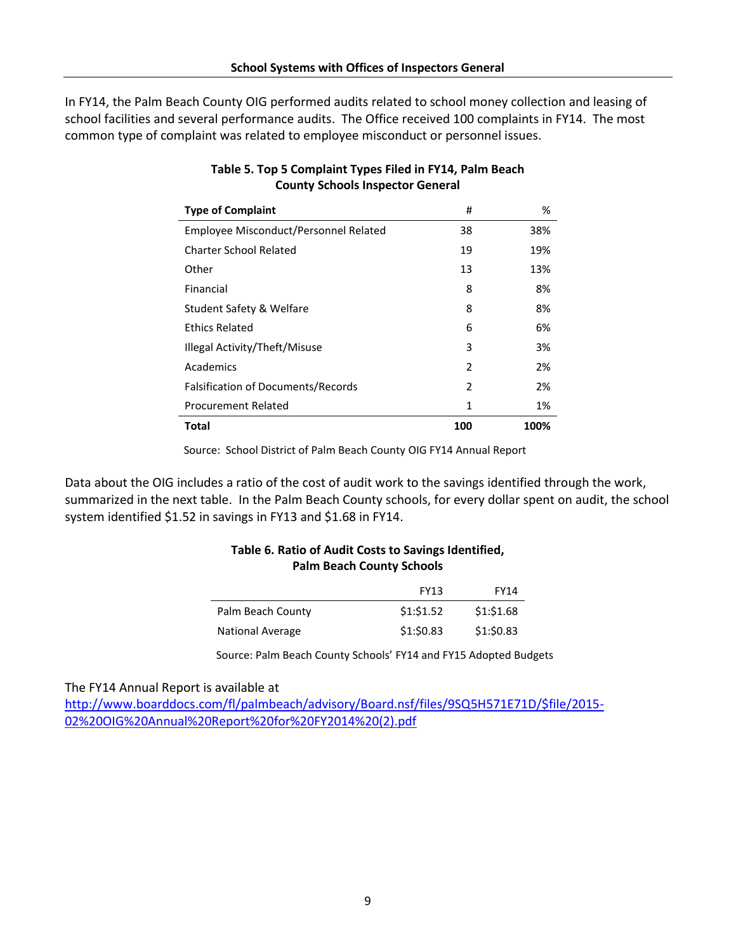In FY14, the Palm Beach County OIG performed audits related to school money collection and leasing of school facilities and several performance audits. The Office received 100 complaints in FY14. The most common type of complaint was related to employee misconduct or personnel issues.

| <b>Type of Complaint</b>              | #   | %    |
|---------------------------------------|-----|------|
| Employee Misconduct/Personnel Related | 38  | 38%  |
| Charter School Related                | 19  | 19%  |
| Other                                 | 13  | 13%  |
| Financial                             | 8   | 8%   |
| Student Safety & Welfare              | 8   | 8%   |
| <b>Ethics Related</b>                 | 6   | 6%   |
| Illegal Activity/Theft/Misuse         | 3   | 3%   |
| Academics                             | 2   | 2%   |
| Falsification of Documents/Records    | 2   | 2%   |
| <b>Procurement Related</b>            | 1   | 1%   |
| Total                                 | 100 | 100% |

### **Table 5. Top 5 Complaint Types Filed in FY14, Palm Beach County Schools Inspector General**

Source: School District of Palm Beach County OIG FY14 Annual Report

Data about the OIG includes a ratio of the cost of audit work to the savings identified through the work, summarized in the next table. In the Palm Beach County schools, for every dollar spent on audit, the school system identified \$1.52 in savings in FY13 and \$1.68 in FY14.

### **Table 6. Ratio of Audit Costs to Savings Identified, Palm Beach County Schools**

|                   | <b>FY13</b> | <b>FY14</b> |
|-------------------|-------------|-------------|
| Palm Beach County | \$1:51.52   | \$1: \$1.68 |
| National Average  | \$1:50.83   | \$1:50.83   |

Source: Palm Beach County Schools' FY14 and FY15 Adopted Budgets

The FY14 Annual Report is available at

[http://www.boarddocs.com/fl/palmbeach/advisory/Board.nsf/files/9SQ5H571E71D/\\$file/2015-](http://www.boarddocs.com/fl/palmbeach/advisory/Board.nsf/files/9SQ5H571E71D/$file/2015-02%20OIG%20Annual%20Report%20for%20FY2014%20(2).pdf) [02%20OIG%20Annual%20Report%20for%20FY2014%20\(2\).pdf](http://www.boarddocs.com/fl/palmbeach/advisory/Board.nsf/files/9SQ5H571E71D/$file/2015-02%20OIG%20Annual%20Report%20for%20FY2014%20(2).pdf)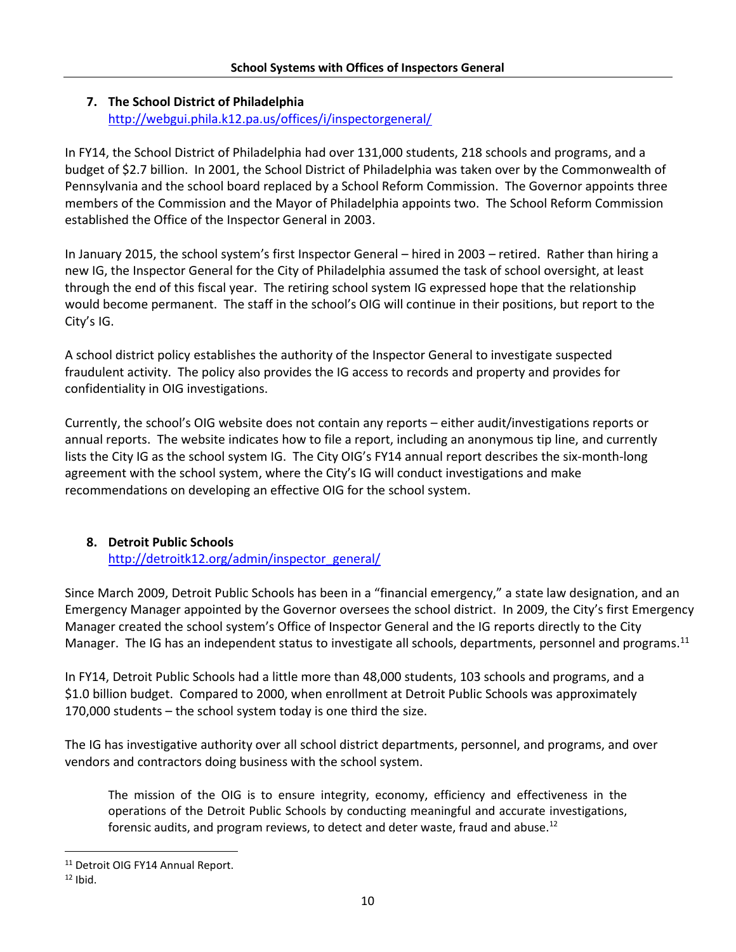## **7. The School District of Philadelphia**

<http://webgui.phila.k12.pa.us/offices/i/inspectorgeneral/>

In FY14, the School District of Philadelphia had over 131,000 students, 218 schools and programs, and a budget of \$2.7 billion. In 2001, the School District of Philadelphia was taken over by the Commonwealth of Pennsylvania and the school board replaced by a School Reform Commission. The Governor appoints three members of the Commission and the Mayor of Philadelphia appoints two. The School Reform Commission established the Office of the Inspector General in 2003.

In January 2015, the school system's first Inspector General – hired in 2003 – retired. Rather than hiring a new IG, the Inspector General for the City of Philadelphia assumed the task of school oversight, at least through the end of this fiscal year. The retiring school system IG expressed hope that the relationship would become permanent. The staff in the school's OIG will continue in their positions, but report to the City's IG.

A school district policy establishes the authority of the Inspector General to investigate suspected fraudulent activity. The policy also provides the IG access to records and property and provides for confidentiality in OIG investigations.

Currently, the school's OIG website does not contain any reports – either audit/investigations reports or annual reports. The website indicates how to file a report, including an anonymous tip line, and currently lists the City IG as the school system IG. The City OIG's FY14 annual report describes the six-month-long agreement with the school system, where the City's IG will conduct investigations and make recommendations on developing an effective OIG for the school system.

# **8. Detroit Public Schools**

## [http://detroitk12.org/admin/inspector\\_general/](http://detroitk12.org/admin/inspector_general/)

Since March 2009, Detroit Public Schools has been in a "financial emergency," a state law designation, and an Emergency Manager appointed by the Governor oversees the school district. In 2009, the City's first Emergency Manager created the school system's Office of Inspector General and the IG reports directly to the City Manager. The IG has an independent status to investigate all schools, departments, personnel and programs.<sup>11</sup>

In FY14, Detroit Public Schools had a little more than 48,000 students, 103 schools and programs, and a \$1.0 billion budget. Compared to 2000, when enrollment at Detroit Public Schools was approximately 170,000 students – the school system today is one third the size.

The IG has investigative authority over all school district departments, personnel, and programs, and over vendors and contractors doing business with the school system.

The mission of the OIG is to ensure integrity, economy, efficiency and effectiveness in the operations of the Detroit Public Schools by conducting meaningful and accurate investigations, forensic audits, and program reviews, to detect and deter waste, fraud and abuse.<sup>12</sup>

l

<sup>&</sup>lt;sup>11</sup> Detroit OIG FY14 Annual Report.

 $12$  Ibid.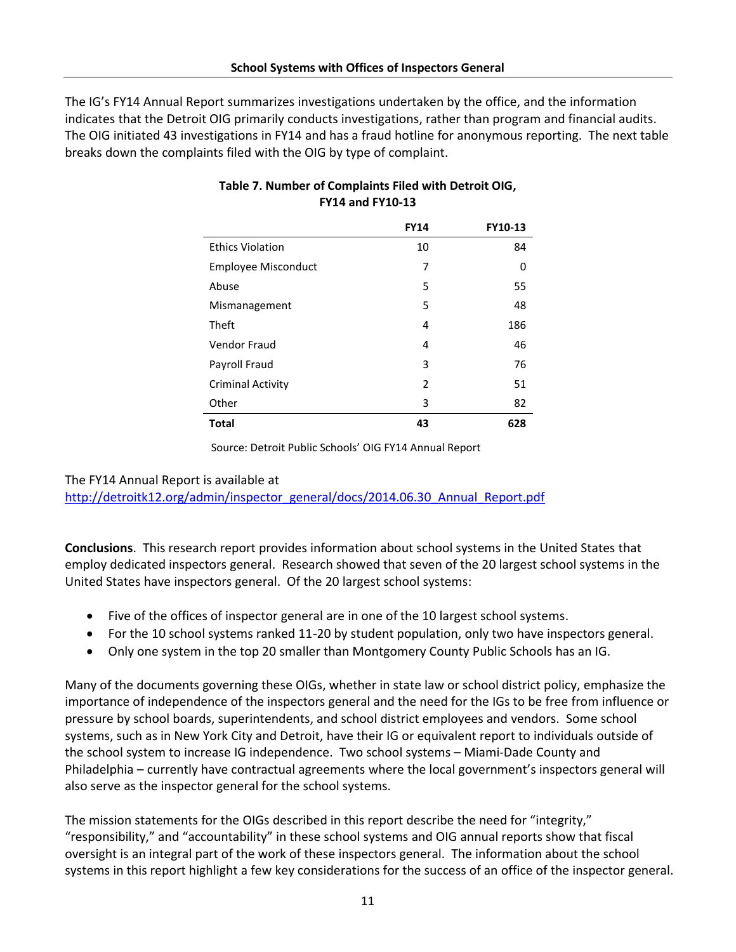The IG's FY14 Annual Report summarizes investigations undertaken by the office, and the information indicates that the Detroit OIG primarily conducts investigations, rather than program and financial audits. The OIG initiated 43 investigations in FY14 and has a fraud hotline for anonymous reporting. The next table breaks down the complaints filed with the OIG by type of complaint.

|                            | <b>FY14</b>              | FY10-13 |
|----------------------------|--------------------------|---------|
| <b>Ethics Violation</b>    | 10                       | 84      |
| <b>Employee Misconduct</b> | 7                        | 0       |
| Abuse                      | 5                        | 55      |
| Mismanagement              | 5                        | 48      |
| Theft                      | 4                        | 186     |
| <b>Vendor Fraud</b>        | 4                        | 46      |
| Payroll Fraud              | 3                        | 76      |
| <b>Criminal Activity</b>   | $\overline{\phantom{a}}$ | 51      |
| Other                      | 3                        | 82      |
| <b>Total</b>               | 43                       | 628     |

### **Table 7. Number of Complaints Filed with Detroit OIG, FY14 and FY10-13**

Source: Detroit Public Schools' OIG FY14 Annual Report

#### The FY14 Annual Report is available at

[http://detroitk12.org/admin/inspector\\_general/docs/2014.06.30\\_Annual\\_Report.pdf](http://detroitk12.org/admin/inspector_general/docs/2014.06.30_Annual_Report.pdf)

**Conclusions**. This research report provides information about school systems in the United States that employ dedicated inspectors general. Research showed that seven of the 20 largest school systems in the United States have inspectors general. Of the 20 largest school systems:

- Five of the offices of inspector general are in one of the 10 largest school systems.
- For the 10 school systems ranked 11-20 by student population, only two have inspectors general.
- Only one system in the top 20 smaller than Montgomery County Public Schools has an IG.

Many of the documents governing these OIGs, whether in state law or school district policy, emphasize the importance of independence of the inspectors general and the need for the IGs to be free from influence or pressure by school boards, superintendents, and school district employees and vendors. Some school systems, such as in New York City and Detroit, have their IG or equivalent report to individuals outside of the school system to increase IG independence. Two school systems – Miami-Dade County and Philadelphia – currently have contractual agreements where the local government's inspectors general will also serve as the inspector general for the school systems.

The mission statements for the OIGs described in this report describe the need for "integrity," "responsibility," and "accountability" in these school systems and OIG annual reports show that fiscal oversight is an integral part of the work of these inspectors general. The information about the school systems in this report highlight a few key considerations for the success of an office of the inspector general.